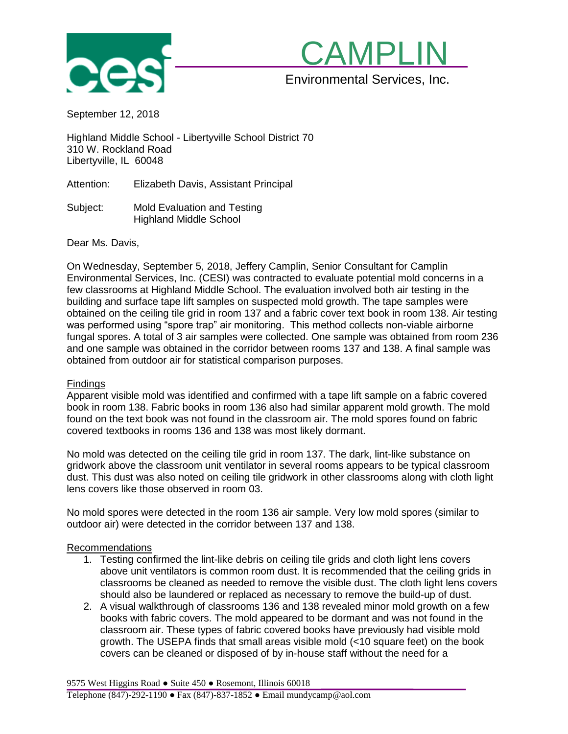



September 12, 2018

Highland Middle School - Libertyville School District 70 310 W. Rockland Road Libertyville, IL 60048

Attention: Elizabeth Davis, Assistant Principal

Subject: Mold Evaluation and Testing Highland Middle School

Dear Ms. Davis,

On Wednesday, September 5, 2018, Jeffery Camplin, Senior Consultant for Camplin Environmental Services, Inc. (CESI) was contracted to evaluate potential mold concerns in a few classrooms at Highland Middle School. The evaluation involved both air testing in the building and surface tape lift samples on suspected mold growth. The tape samples were obtained on the ceiling tile grid in room 137 and a fabric cover text book in room 138. Air testing was performed using "spore trap" air monitoring. This method collects non-viable airborne fungal spores. A total of 3 air samples were collected. One sample was obtained from room 236 and one sample was obtained in the corridor between rooms 137 and 138. A final sample was obtained from outdoor air for statistical comparison purposes.

#### **Findings**

Apparent visible mold was identified and confirmed with a tape lift sample on a fabric covered book in room 138. Fabric books in room 136 also had similar apparent mold growth. The mold found on the text book was not found in the classroom air. The mold spores found on fabric covered textbooks in rooms 136 and 138 was most likely dormant.

No mold was detected on the ceiling tile grid in room 137. The dark, lint-like substance on gridwork above the classroom unit ventilator in several rooms appears to be typical classroom dust. This dust was also noted on ceiling tile gridwork in other classrooms along with cloth light lens covers like those observed in room 03.

No mold spores were detected in the room 136 air sample. Very low mold spores (similar to outdoor air) were detected in the corridor between 137 and 138.

#### Recommendations

- 1. Testing confirmed the lint-like debris on ceiling tile grids and cloth light lens covers above unit ventilators is common room dust. It is recommended that the ceiling grids in classrooms be cleaned as needed to remove the visible dust. The cloth light lens covers should also be laundered or replaced as necessary to remove the build-up of dust.
- 2. A visual walkthrough of classrooms 136 and 138 revealed minor mold growth on a few books with fabric covers. The mold appeared to be dormant and was not found in the classroom air. These types of fabric covered books have previously had visible mold growth. The USEPA finds that small areas visible mold (<10 square feet) on the book covers can be cleaned or disposed of by in-house staff without the need for a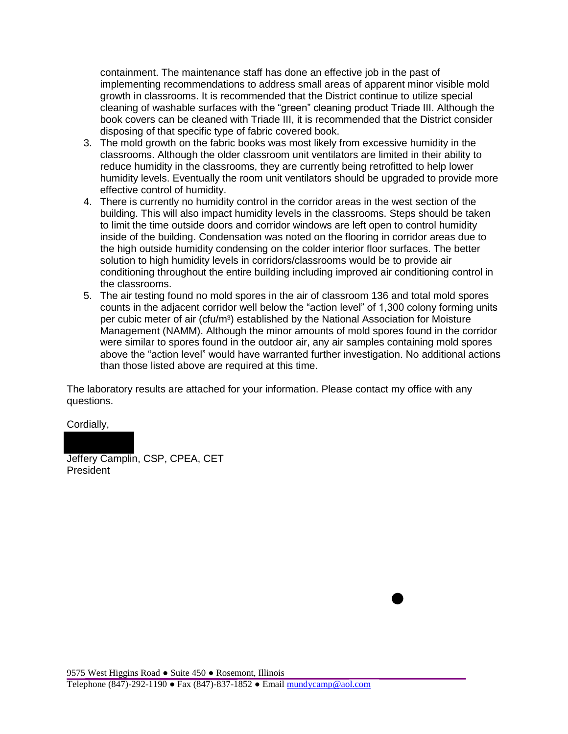containment. The maintenance staff has done an effective job in the past of implementing recommendations to address small areas of apparent minor visible mold growth in classrooms. It is recommended that the District continue to utilize special cleaning of washable surfaces with the "green" cleaning product Triade III. Although the book covers can be cleaned with Triade III, it is recommended that the District consider disposing of that specific type of fabric covered book.

- 3. The mold growth on the fabric books was most likely from excessive humidity in the classrooms. Although the older classroom unit ventilators are limited in their ability to reduce humidity in the classrooms, they are currently being retrofitted to help lower humidity levels. Eventually the room unit ventilators should be upgraded to provide more effective control of humidity.
- 4. There is currently no humidity control in the corridor areas in the west section of the building. This will also impact humidity levels in the classrooms. Steps should be taken to limit the time outside doors and corridor windows are left open to control humidity inside of the building. Condensation was noted on the flooring in corridor areas due to the high outside humidity condensing on the colder interior floor surfaces. The better solution to high humidity levels in corridors/classrooms would be to provide air conditioning throughout the entire building including improved air conditioning control in the classrooms.
- 5. The air testing found no mold spores in the air of classroom 136 and total mold spores counts in the adjacent corridor well below the "action level" of 1,300 colony forming units per cubic meter of air (cfu/m<sup>3</sup>) established by the National Association for Moisture Management (NAMM). Although the minor amounts of mold spores found in the corridor were similar to spores found in the outdoor air, any air samples containing mold spores above the "action level" would have warranted further investigation. No additional actions than those listed above are required at this time.

The laboratory results are attached for your information. Please contact my office with any questions.

Cordially,

Jeffery Camplin, CSP, CPEA, CET President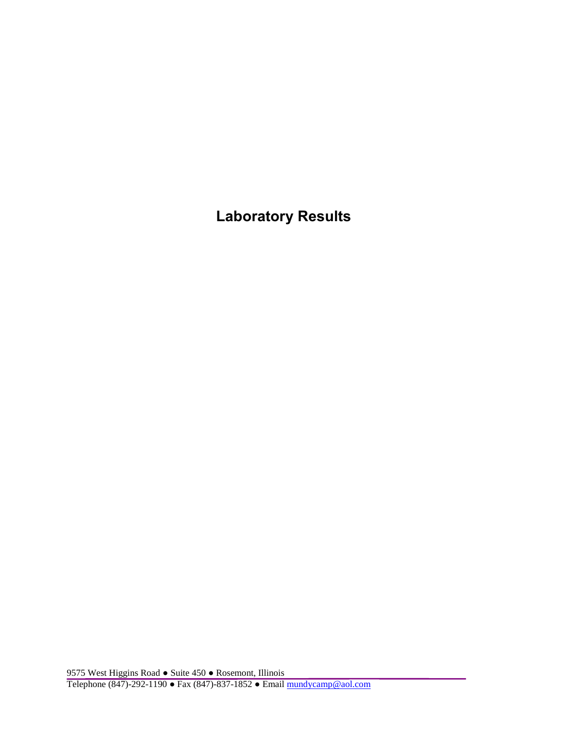**Laboratory Results**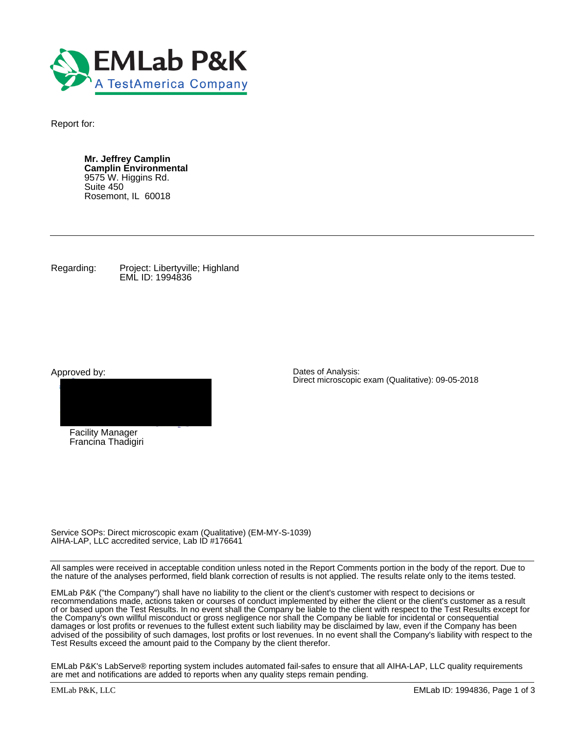

Report for:

**Mr. Jeffrey Camplin Camplin Environmental** 9575 W. Higgins Rd. Suite 450 Rosemont, IL 60018

Regarding: Project: Libertyville; Highland EML ID: 1994836

Approved by:



Francina Thadigiri

Dates of Analysis: Direct microscopic exam (Qualitative): 09-05-2018

Service SOPs: Direct microscopic exam (Qualitative) (EM-MY-S-1039) AIHA-LAP, LLC accredited service, Lab ID #176641

All samples were received in acceptable condition unless noted in the Report Comments portion in the body of the report. Due to the nature of the analyses performed, field blank correction of results is not applied. The results relate only to the items tested.

EMLab P&K ("the Company") shall have no liability to the client or the client's customer with respect to decisions or recommendations made, actions taken or courses of conduct implemented by either the client or the client's customer as a result of or based upon the Test Results. In no event shall the Company be liable to the client with respect to the Test Results except for the Company's own willful misconduct or gross negligence nor shall the Company be liable for incidental or consequential damages or lost profits or revenues to the fullest extent such liability may be disclaimed by law, even if the Company has been advised of the possibility of such damages, lost profits or lost revenues. In no event shall the Company's liability with respect to the Test Results exceed the amount paid to the Company by the client therefor.

EMLab P&K's LabServe® reporting system includes automated fail-safes to ensure that all AIHA-LAP, LLC quality requirements are met and notifications are added to reports when any quality steps remain pending.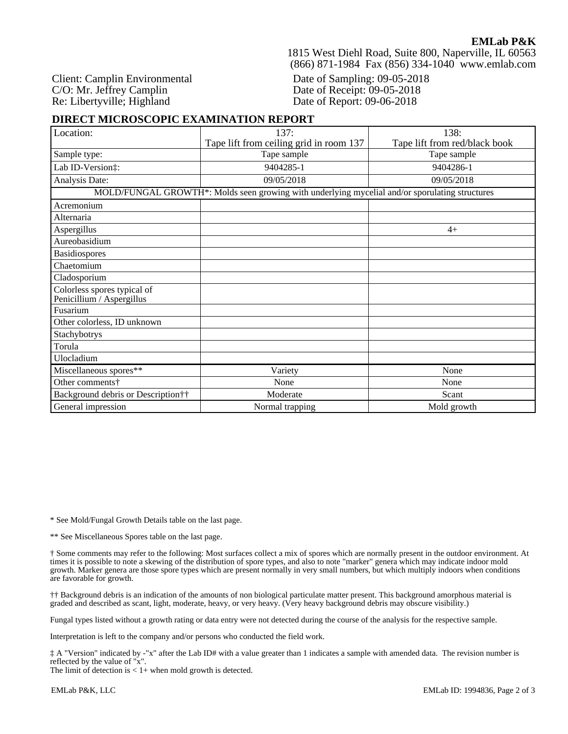Client: Camplin Environmental C/O: Mr. Jeffrey Camplin Re: Libertyville; Highland

1815 West Diehl Road, Suite 800, Naperville, IL 60563 (866) 871-1984 Fax (856) 334-1040 www.emlab.com

Date of Sampling: 09-05-2018 Date of Receipt: 09-05-2018 Date of Report: 09-06-2018

# **DIRECT MICROSCOPIC EXAMINATION REPORT**

| Location:                                                | 137:                                                                                           | 138:                          |  |  |
|----------------------------------------------------------|------------------------------------------------------------------------------------------------|-------------------------------|--|--|
|                                                          | Tape lift from ceiling grid in room 137                                                        | Tape lift from red/black book |  |  |
| Sample type:                                             | Tape sample                                                                                    | Tape sample                   |  |  |
| Lab ID-Version:                                          | 9404285-1                                                                                      | 9404286-1                     |  |  |
| Analysis Date:                                           | 09/05/2018                                                                                     | 09/05/2018                    |  |  |
|                                                          | MOLD/FUNGAL GROWTH*: Molds seen growing with underlying mycelial and/or sporulating structures |                               |  |  |
| Acremonium                                               |                                                                                                |                               |  |  |
| Alternaria                                               |                                                                                                |                               |  |  |
| Aspergillus                                              |                                                                                                | $4+$                          |  |  |
| Aureobasidium                                            |                                                                                                |                               |  |  |
| Basidiospores                                            |                                                                                                |                               |  |  |
| Chaetomium                                               |                                                                                                |                               |  |  |
| Cladosporium                                             |                                                                                                |                               |  |  |
| Colorless spores typical of<br>Penicillium / Aspergillus |                                                                                                |                               |  |  |
| Fusarium                                                 |                                                                                                |                               |  |  |
| Other colorless, ID unknown                              |                                                                                                |                               |  |  |
| Stachybotrys                                             |                                                                                                |                               |  |  |
| Torula                                                   |                                                                                                |                               |  |  |
| Ulocladium                                               |                                                                                                |                               |  |  |
| Miscellaneous spores**                                   | Variety                                                                                        | None                          |  |  |
| Other comments†                                          | None                                                                                           | None                          |  |  |
| Background debris or Description††                       | Moderate                                                                                       | Scant                         |  |  |
| General impression                                       | Normal trapping                                                                                | Mold growth                   |  |  |

\* See Mold/Fungal Growth Details table on the last page.

\*\* See Miscellaneous Spores table on the last page.

† Some comments may refer to the following: Most surfaces collect a mix of spores which are normally present in the outdoor environment. At times it is possible to note a skewing of the distribution of spore types, and also to note "marker" genera which may indicate indoor mold growth. Marker genera are those spore types which are present normally in very small numbers, but which multiply indoors when conditions are favorable for growth.

†† Background debris is an indication of the amounts of non biological particulate matter present. This background amorphous material is graded and described as scant, light, moderate, heavy, or very heavy. (Very heavy background debris may obscure visibility.)

Fungal types listed without a growth rating or data entry were not detected during the course of the analysis for the respective sample.

Interpretation is left to the company and/or persons who conducted the field work.

‡ A "Version" indicated by -"x" after the Lab ID# with a value greater than 1 indicates a sample with amended data. The revision number is reflected by the value of "x".

The limit of detection is  $< 1+$  when mold growth is detected.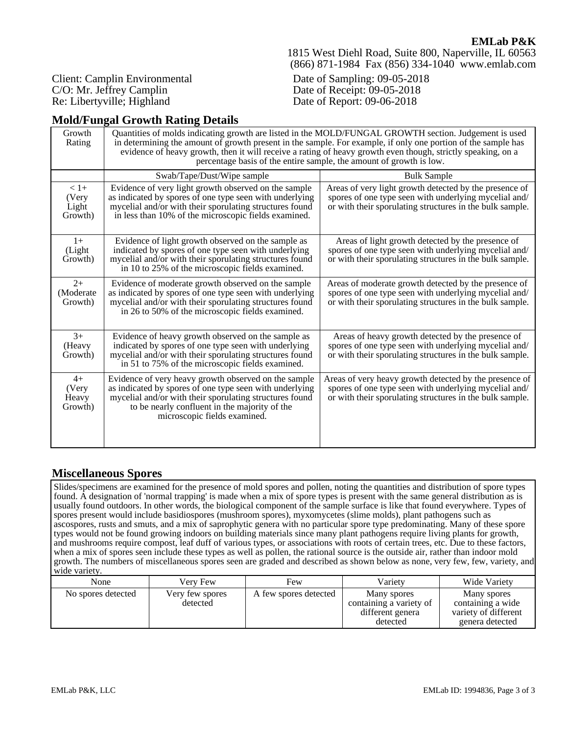1815 West Diehl Road, Suite 800, Naperville, IL 60563 (866) 871-1984 Fax (856) 334-1040 www.emlab.com

Client: Camplin Environmental C/O: Mr. Jeffrey Camplin Re: Libertyville; Highland

Date of Sampling: 09-05-2018 Date of Receipt: 09-05-2018 Date of Report: 09-06-2018

# **Mold/Fungal Growth Rating Details**

| Growth<br>Rating                    | Quantities of molds indicating growth are listed in the MOLD/FUNGAL GROWTH section. Judgement is used<br>in determining the amount of growth present in the sample. For example, if only one portion of the sample has<br>evidence of heavy growth, then it will receive a rating of heavy growth even though, strictly speaking, on a<br>percentage basis of the entire sample, the amount of growth is low. |                                                                                                                                                                             |  |  |  |  |  |
|-------------------------------------|---------------------------------------------------------------------------------------------------------------------------------------------------------------------------------------------------------------------------------------------------------------------------------------------------------------------------------------------------------------------------------------------------------------|-----------------------------------------------------------------------------------------------------------------------------------------------------------------------------|--|--|--|--|--|
|                                     | Swab/Tape/Dust/Wipe sample                                                                                                                                                                                                                                                                                                                                                                                    | <b>Bulk Sample</b>                                                                                                                                                          |  |  |  |  |  |
| $< 1+$<br>(Very<br>Light<br>Growth) | Evidence of very light growth observed on the sample<br>as indicated by spores of one type seen with underlying<br>mycelial and/or with their sporulating structures found<br>in less than 10% of the microscopic fields examined.                                                                                                                                                                            | Areas of very light growth detected by the presence of<br>spores of one type seen with underlying mycelial and/<br>or with their sporulating structures in the bulk sample. |  |  |  |  |  |
| $1+$<br>(Light)<br>Growth)          | Evidence of light growth observed on the sample as<br>indicated by spores of one type seen with underlying<br>mycelial and/or with their sporulating structures found<br>in 10 to 25% of the microscopic fields examined.                                                                                                                                                                                     | Areas of light growth detected by the presence of<br>spores of one type seen with underlying mycelial and/<br>or with their sporulating structures in the bulk sample.      |  |  |  |  |  |
| $2+$<br>(Moderate<br>Growth)        | Evidence of moderate growth observed on the sample<br>as indicated by spores of one type seen with underlying<br>mycelial and/or with their sporulating structures found<br>in 26 to 50% of the microscopic fields examined.                                                                                                                                                                                  | Areas of moderate growth detected by the presence of<br>spores of one type seen with underlying mycelial and/<br>or with their sporulating structures in the bulk sample.   |  |  |  |  |  |
| $3+$<br>(Heavy<br>Growth)           | Evidence of heavy growth observed on the sample as<br>indicated by spores of one type seen with underlying<br>mycelial and/or with their sporulating structures found<br>in 51 to 75% of the microscopic fields examined.                                                                                                                                                                                     | Areas of heavy growth detected by the presence of<br>spores of one type seen with underlying mycelial and/<br>or with their sporulating structures in the bulk sample.      |  |  |  |  |  |
| $4+$<br>(Very<br>Heavy<br>Growth)   | Evidence of very heavy growth observed on the sample<br>as indicated by spores of one type seen with underlying<br>mycelial and/or with their sporulating structures found<br>to be nearly confluent in the majority of the<br>microscopic fields examined.                                                                                                                                                   | Areas of very heavy growth detected by the presence of<br>spores of one type seen with underlying mycelial and/<br>or with their sporulating structures in the bulk sample. |  |  |  |  |  |

# **Miscellaneous Spores**

Slides/specimens are examined for the presence of mold spores and pollen, noting the quantities and distribution of spore types found. A designation of 'normal trapping' is made when a mix of spore types is present with the same general distribution as is usually found outdoors. In other words, the biological component of the sample surface is like that found everywhere. Types of spores present would include basidiospores (mushroom spores), myxomycetes (slime molds), plant pathogens such as ascospores, rusts and smuts, and a mix of saprophytic genera with no particular spore type predominating. Many of these spore types would not be found growing indoors on building materials since many plant pathogens require living plants for growth, and mushrooms require compost, leaf duff of various types, or associations with roots of certain trees, etc. Due to these factors, when a mix of spores seen include these types as well as pollen, the rational source is the outside air, rather than indoor mold growth. The numbers of miscellaneous spores seen are graded and described as shown below as none, very few, few, variety, and wide variety.

| None<br>Verv Few                                  | Few                   | Varietv                                                                | Wide Variety                                                                |
|---------------------------------------------------|-----------------------|------------------------------------------------------------------------|-----------------------------------------------------------------------------|
| No spores detected<br>Very few spores<br>detected | A few spores detected | Many spores<br>containing a variety of<br>different genera<br>detected | Many spores<br>containing a wide<br>variety of different<br>genera detected |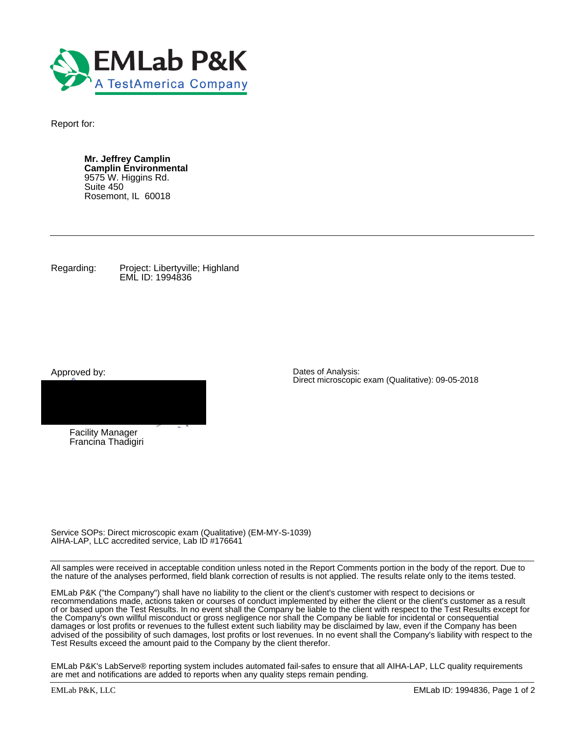

Report for:

**Mr. Jeffrey Camplin Camplin Environmental** 9575 W. Higgins Rd. Suite 450 Rosemont, IL 60018

Regarding: Project: Libertyville; Highland EML ID: 1994836

Approved by:



Francina Thadigiri

Dates of Analysis: Direct microscopic exam (Qualitative): 09-05-2018

Service SOPs: Direct microscopic exam (Qualitative) (EM-MY-S-1039) AIHA-LAP, LLC accredited service, Lab ID #176641

All samples were received in acceptable condition unless noted in the Report Comments portion in the body of the report. Due to the nature of the analyses performed, field blank correction of results is not applied. The results relate only to the items tested.

EMLab P&K ("the Company") shall have no liability to the client or the client's customer with respect to decisions or recommendations made, actions taken or courses of conduct implemented by either the client or the client's customer as a result of or based upon the Test Results. In no event shall the Company be liable to the client with respect to the Test Results except for the Company's own willful misconduct or gross negligence nor shall the Company be liable for incidental or consequential damages or lost profits or revenues to the fullest extent such liability may be disclaimed by law, even if the Company has been advised of the possibility of such damages, lost profits or lost revenues. In no event shall the Company's liability with respect to the Test Results exceed the amount paid to the Company by the client therefor.

EMLab P&K's LabServe® reporting system includes automated fail-safes to ensure that all AIHA-LAP, LLC quality requirements are met and notifications are added to reports when any quality steps remain pending.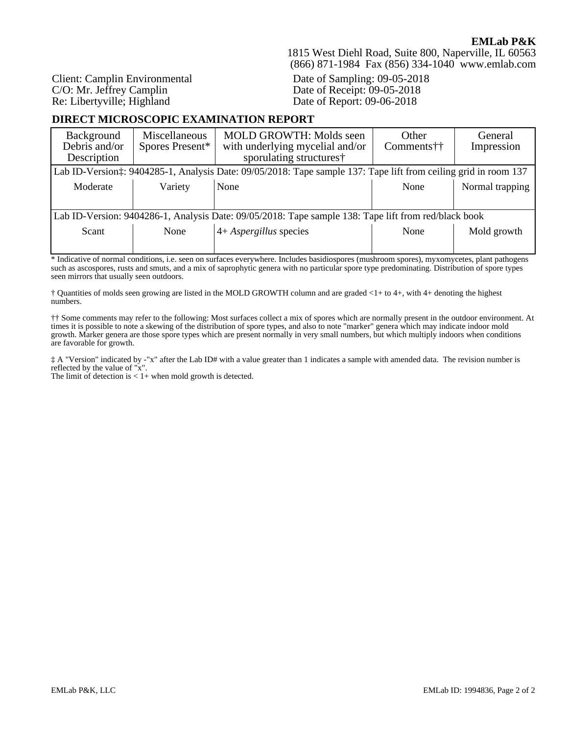Client: Camplin Environmental C/O: Mr. Jeffrey Camplin Re: Libertyville; Highland

## 1815 West Diehl Road, Suite 800, Naperville, IL 60563 (866) 871-1984 Fax (856) 334-1040 www.emlab.com

Date of Sampling: 09-05-2018 Date of Receipt: 09-05-2018 Date of Report: 09-06-2018

## **DIRECT MICROSCOPIC EXAMINATION REPORT**

| Background<br>Debris and/or<br>Description                                                           | Miscellaneous<br>Spores Present* | <b>MOLD GROWTH: Molds seen</b><br>with underlying mycelial and/or<br>sporulating structures†                    | <b>Other</b><br>Comments†† | General<br>Impression |  |
|------------------------------------------------------------------------------------------------------|----------------------------------|-----------------------------------------------------------------------------------------------------------------|----------------------------|-----------------------|--|
|                                                                                                      |                                  | Lab ID-Version:: 9404285-1, Analysis Date: 09/05/2018: Tape sample 137: Tape lift from ceiling grid in room 137 |                            |                       |  |
| Moderate                                                                                             | Variety                          | None                                                                                                            | None                       | Normal trapping       |  |
|                                                                                                      |                                  |                                                                                                                 |                            |                       |  |
| Lab ID-Version: 9404286-1, Analysis Date: 09/05/2018: Tape sample 138: Tape lift from red/black book |                                  |                                                                                                                 |                            |                       |  |
| Scant                                                                                                | None                             | $4+ Aspergillus$ species                                                                                        | None                       | Mold growth           |  |
|                                                                                                      |                                  |                                                                                                                 |                            |                       |  |

\* Indicative of normal conditions, i.e. seen on surfaces everywhere. Includes basidiospores (mushroom spores), myxomycetes, plant pathogens such as ascospores, rusts and smuts, and a mix of saprophytic genera with no particular spore type predominating. Distribution of spore types seen mirrors that usually seen outdoors.

† Quantities of molds seen growing are listed in the MOLD GROWTH column and are graded <1+ to 4+, with 4+ denoting the highest numbers.

†† Some comments may refer to the following: Most surfaces collect a mix of spores which are normally present in the outdoor environment. At times it is possible to note a skewing of the distribution of spore types, and also to note "marker" genera which may indicate indoor mold growth. Marker genera are those spore types which are present normally in very small numbers, but which multiply indoors when conditions are favorable for growth.

‡ A "Version" indicated by -"x" after the Lab ID# with a value greater than 1 indicates a sample with amended data. The revision number is reflected by the value of "x".

The limit of detection is  $< 1+$  when mold growth is detected.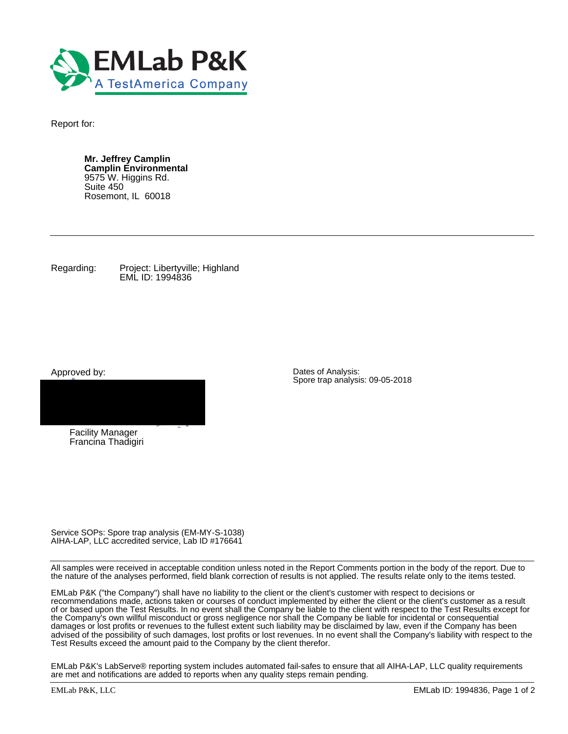

Report for:

**Mr. Jeffrey Camplin Camplin Environmental** 9575 W. Higgins Rd. Suite 450 Rosemont, IL 60018

Regarding: Project: Libertyville; Highland EML ID: 1994836

Approved by:



Francina Thadigiri

Dates of Analysis: Spore trap analysis: 09-05-2018

Service SOPs: Spore trap analysis (EM-MY-S-1038) AIHA-LAP, LLC accredited service, Lab ID #176641

All samples were received in acceptable condition unless noted in the Report Comments portion in the body of the report. Due to the nature of the analyses performed, field blank correction of results is not applied. The results relate only to the items tested.

EMLab P&K ("the Company") shall have no liability to the client or the client's customer with respect to decisions or recommendations made, actions taken or courses of conduct implemented by either the client or the client's customer as a result of or based upon the Test Results. In no event shall the Company be liable to the client with respect to the Test Results except for the Company's own willful misconduct or gross negligence nor shall the Company be liable for incidental or consequential damages or lost profits or revenues to the fullest extent such liability may be disclaimed by law, even if the Company has been advised of the possibility of such damages, lost profits or lost revenues. In no event shall the Company's liability with respect to the Test Results exceed the amount paid to the Company by the client therefor.

EMLab P&K's LabServe® reporting system includes automated fail-safes to ensure that all AIHA-LAP, LLC quality requirements are met and notifications are added to reports when any quality steps remain pending.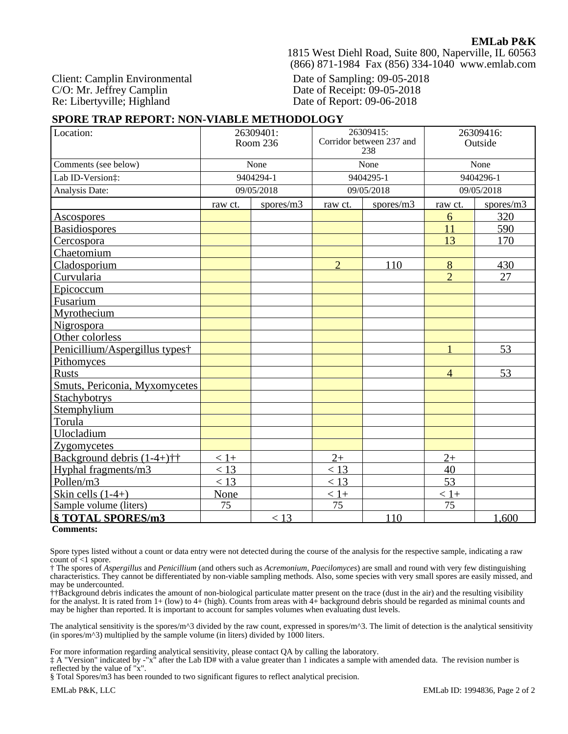1815 West Diehl Road, Suite 800, Naperville, IL 60563 (866) 871-1984 Fax (856) 334-1040 www.emlab.com

Client: Camplin Environmental C/O: Mr. Jeffrey Camplin Re: Libertyville; Highland

Date of Sampling: 09-05-2018 Date of Receipt: 09-05-2018 Date of Report: 09-06-2018

## **SPORE TRAP REPORT: NON-VIABLE METHODOLOGY**

| Location:                                                            | 26309401:<br>Room 236 |            | 26309415:<br>Corridor between 237 and<br>238 |           | 26309416:<br>Outside |           |
|----------------------------------------------------------------------|-----------------------|------------|----------------------------------------------|-----------|----------------------|-----------|
| Comments (see below)                                                 | None                  |            | None                                         |           | None                 |           |
| Lab ID-Version:                                                      |                       | 9404294-1  | 9404295-1                                    |           | 9404296-1            |           |
| Analysis Date:                                                       |                       | 09/05/2018 | 09/05/2018                                   |           | 09/05/2018           |           |
|                                                                      | raw ct.               | spores/m3  | raw ct.                                      | spores/m3 | raw ct.              | spores/m3 |
| <b>Ascospores</b>                                                    |                       |            |                                              |           | 6                    | 320       |
| <b>Basidiospores</b>                                                 |                       |            |                                              |           | 11                   | 590       |
| Cercospora                                                           |                       |            |                                              |           | 13                   | 170       |
| Chaetomium                                                           |                       |            |                                              |           |                      |           |
| Cladosporium                                                         |                       |            | $\overline{2}$                               | 110       | 8                    | 430       |
| Curvularia                                                           |                       |            |                                              |           | $\overline{2}$       | 27        |
| Epicoccum                                                            |                       |            |                                              |           |                      |           |
| Fusarium                                                             |                       |            |                                              |           |                      |           |
| Myrothecium                                                          |                       |            |                                              |           |                      |           |
| <b>Nigrospora</b>                                                    |                       |            |                                              |           |                      |           |
| Other colorless                                                      |                       |            |                                              |           |                      |           |
| Penicillium/Aspergillus types†                                       |                       |            |                                              |           | $\mathbf{1}$         | 53        |
| <b>Pithomyces</b>                                                    |                       |            |                                              |           |                      |           |
| <b>Rusts</b>                                                         |                       |            |                                              |           | $\overline{4}$       | 53        |
| Smuts, Periconia, Myxomycetes                                        |                       |            |                                              |           |                      |           |
| <b>Stachybotrys</b>                                                  |                       |            |                                              |           |                      |           |
| Stemphylium                                                          |                       |            |                                              |           |                      |           |
| Torula                                                               |                       |            |                                              |           |                      |           |
| Ulocladium                                                           |                       |            |                                              |           |                      |           |
| Zygomycetes                                                          |                       |            |                                              |           |                      |           |
| Background debris $(1-4+)$ <sup><math>\dagger</math></sup> $\dagger$ | $< 1+$                |            | $2+$                                         |           | $2+$                 |           |
| Hyphal fragments/m3                                                  | < 13                  |            | $<$ 13                                       |           | 40                   |           |
| Pollen/m3                                                            | < 13                  |            | $<$ 13                                       |           | 53                   |           |
| Skin cells $(1-4+)$                                                  | None                  |            | $< 1+$                                       |           | $< 1+$               |           |
| Sample volume (liters)                                               | 75                    |            | 75                                           |           | 75                   |           |
| § TOTAL SPORES/m3                                                    |                       | < 13       |                                              | 110       |                      | 1,600     |

**Comments:**

Spore types listed without a count or data entry were not detected during the course of the analysis for the respective sample, indicating a raw count of  $\leq 1$  spore.

† The spores of *Aspergillus* and *Penicillium* (and others such as *Acremonium, Paecilomyces*) are small and round with very few distinguishing characteristics. They cannot be differentiated by non-viable sampling methods. Also, some species with very small spores are easily missed, and may be undercounted.

††Background debris indicates the amount of non-biological particulate matter present on the trace (dust in the air) and the resulting visibility for the analyst. It is rated from 1+ (low) to 4+ (high). Counts from areas with 4+ background debris should be regarded as minimal counts and may be higher than reported. It is important to account for samples volumes when evaluating dust levels.

The analytical sensitivity is the spores/m^3 divided by the raw count, expressed in spores/m^3. The limit of detection is the analytical sensitivity (in spores/ $m^3$ ) multiplied by the sample volume (in liters) divided by 1000 liters.

For more information regarding analytical sensitivity, please contact QA by calling the laboratory.

‡ A "Version" indicated by -"x" after the Lab ID# with a value greater than 1 indicates a sample with amended data. The revision number is reflected by the value of "x".

§ Total Spores/m3 has been rounded to two significant figures to reflect analytical precision.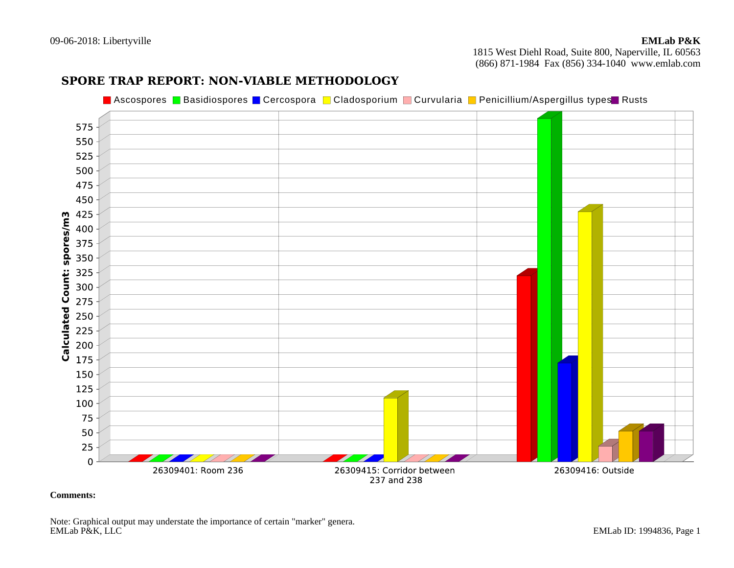09-06-2018: Libertyville

 1815 West Diehl Road, Suite 800, Naperville, IL 60563(866) 871-1984 Fax (856) 334-1040 www.emlab.com

# **SPORE TRAP REPORT: NON-VIABLE METHODOLOGY**

Ascospores ■ Basidiospores ■ Cercospora ■ Cladosporium ■ Curvularia ■ Penicillium/Aspergillus types ■ Rusts<br>. 575 550 525 500 475 450 175 150 125 100 75 50 25  $\Omega$ 26309401: Room 236 26309415: Corridor between 26309416: Outside 237 and 238

**Comments:** 

Note: Graphical output may understate the importance of certain "marker" genera.<br>EMLab P&K, LLC EMLab ID: 1994836, Page 1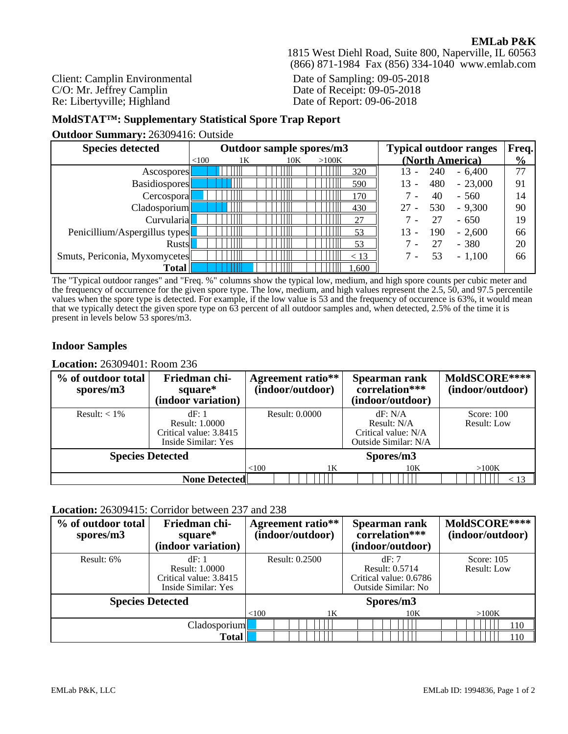1815 West Diehl Road, Suite 800, Naperville, IL 60563 (866) 871-1984 Fax (856) 334-1040 www.emlab.com

Client: Camplin Environmental C/O: Mr. Jeffrey Camplin Re: Libertyville; Highland

Date of Sampling: 09-05-2018 Date of Receipt: 09-05-2018 Date of Report: 09-06-2018

# **MoldSTAT™: Supplementary Statistical Spore Trap Report**

**Outdoor Summary:** 26309416: Outside

| <b>Species detected</b>       | Outdoor sample spores/m3 |    |     |       | <b>Typical outdoor ranges</b>                | Freq.         |
|-------------------------------|--------------------------|----|-----|-------|----------------------------------------------|---------------|
|                               | < 100                    | 1K | 10K | >100K | (North America)                              | $\frac{0}{0}$ |
| Ascospores <sup>[1]</sup>     |                          |    |     | 320   | $-6,400$<br>240                              | 77            |
| <b>Basidiospores</b>          |                          |    |     | 590   | 480<br>$-23,000$<br>$\overline{\phantom{a}}$ | 91            |
| Cercospora                    |                          |    |     | 170   | $-560$<br>40                                 | 14            |
| Cladosporium                  |                          |    |     | 430   | 530<br>$-9,300$                              | 90            |
| Curvularia                    |                          |    |     | 27    | $-650$<br>27                                 | 19            |
| Penicillium/Aspergillus types |                          |    |     | 53    | $-2,600$<br>190                              | 66            |
| <b>Rusts</b>                  |                          |    |     | 53    | $-380$<br>27                                 | 20            |
| Smuts, Periconia, Myxomycetes |                          |    |     | < 13  | 53<br>$-1,100$                               | 66            |
| <b>Total</b>                  |                          |    |     | .600  |                                              |               |

The "Typical outdoor ranges" and "Freq. %" columns show the typical low, medium, and high spore counts per cubic meter and the frequency of occurrence for the given spore type. The low, medium, and high values represent the 2.5, 50, and 97.5 percentile values when the spore type is detected. For example, if the low value is 53 and the frequency of occurence is 63%, it would mean that we typically detect the given spore type on 63 percent of all outdoor samples and, when detected, 2.5% of the time it is present in levels below 53 spores/m3.

# **Indoor Samples**

#### **Location:** 26309401: Room 236

| % of outdoor total<br>spores/m3 | Friedman chi-<br>square*<br>(indoor variation)                                  | <b>Agreement ratio**</b><br>(indoor/outdoor) | Spearman rank<br>correlation***<br>(indoor/outdoor)                   | MoldSCORE****<br>(indoor/outdoor)  |
|---------------------------------|---------------------------------------------------------------------------------|----------------------------------------------|-----------------------------------------------------------------------|------------------------------------|
| Result: $< 1\%$                 | dF: 1<br><b>Result: 1.0000</b><br>Critical value: 3.8415<br>Inside Similar: Yes | Result: 0.0000                               | dF: N/A<br>Result: N/A<br>Critical value: N/A<br>Outside Similar: N/A | Score: $100$<br><b>Result: Low</b> |
| <b>Species Detected</b>         |                                                                                 |                                              | Spores/m3                                                             |                                    |
|                                 |                                                                                 | <100<br>1K                                   | 10K                                                                   | >100K                              |
|                                 | <b>None Detected</b>                                                            |                                              |                                                                       | < 13                               |

#### **Location:** 26309415: Corridor between 237 and 238

| % of outdoor total<br>spores/m3 | Friedman chi-<br>square*<br>(indoor variation)                                  |       | <b>Agreement ratio**</b><br>(indoor/outdoor) | Spearman rank<br>correlation***<br>(indoor/outdoor)                     | MoldSCORE****<br>(indoor/outdoor)  |
|---------------------------------|---------------------------------------------------------------------------------|-------|----------------------------------------------|-------------------------------------------------------------------------|------------------------------------|
| Result: 6%                      | dF: 1<br><b>Result: 1.0000</b><br>Critical value: 3.8415<br>Inside Similar: Yes |       | Result: 0.2500                               | dF:7<br>Result: 0.5714<br>Critical value: 0.6786<br>Outside Similar: No | Score: $105$<br><b>Result: Low</b> |
| <b>Species Detected</b>         |                                                                                 |       |                                              | Spores/m3                                                               |                                    |
|                                 |                                                                                 | < 100 | 1 <sub>K</sub>                               | 10K                                                                     | >100K                              |
| Cladosporium                    |                                                                                 |       |                                              |                                                                         | 110                                |
| Total                           |                                                                                 |       |                                              |                                                                         | 110                                |